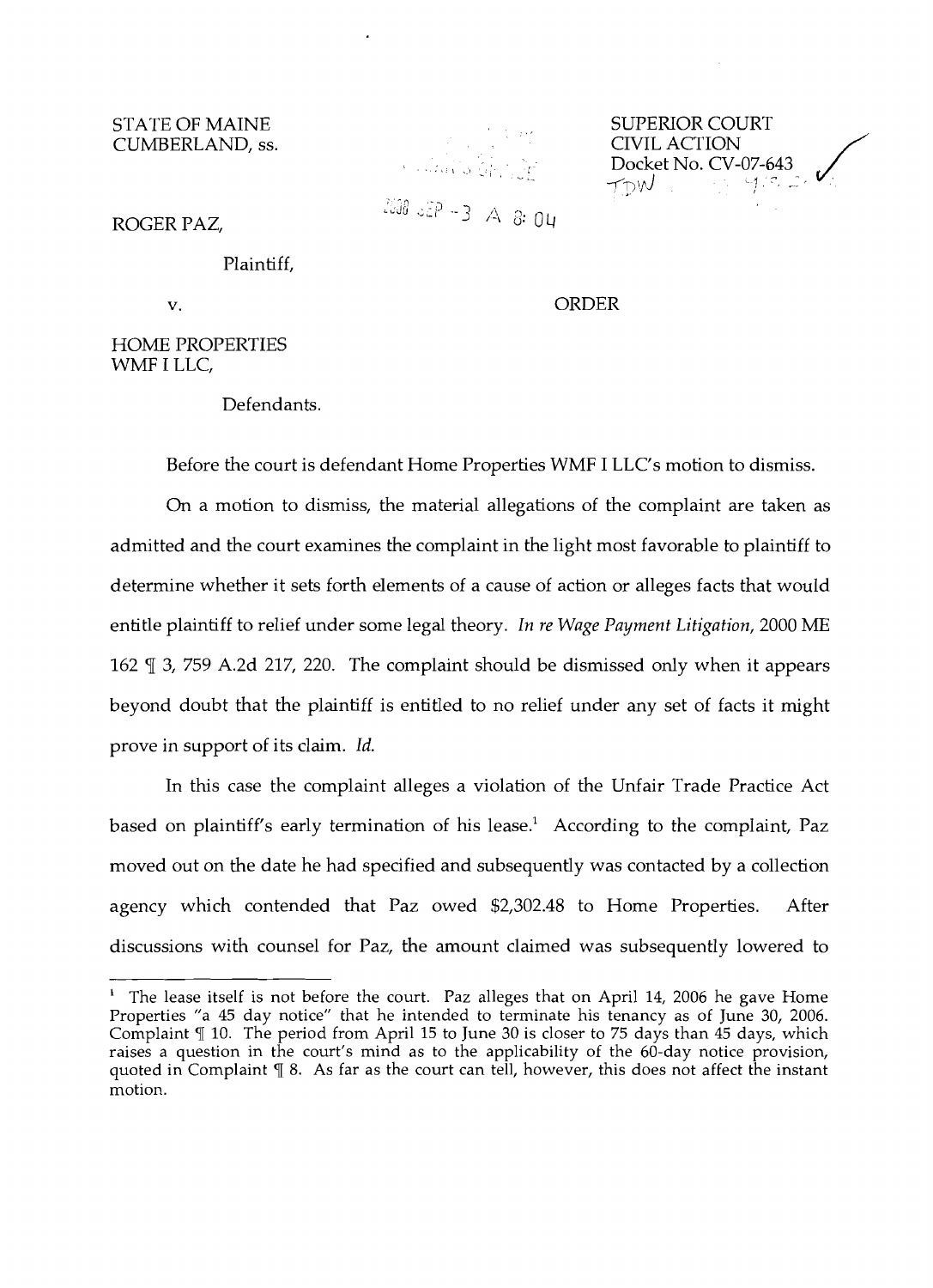STATE OF MAINE SUPERIOR COURT<br>CUMBERLAND, ss. SUPERIOR COURT

CUMBERLAND, ss. CIVIL ACTION COMBERLAND, ss.  $2000$   $55P - 3$  A 8:04

ROGER PAZ,

Plaintiff,

v. ORDER

Docket No. CV-07-~43, \_ -----"'I..f) - ,·-1· , . - J I, / ',' , ~\_c " • ..i.. ,I

HOME PROPERTIES WMFI LLC,

Defendants.

Before the court is defendant Home Properties WMF I LLC's motion to dismiss.

On a motion to dismiss, the material allegations of the complaint are taken as admitted and the court examines the complaint in the light most favorable to plaintiff to determine whether it sets forth elements of a cause of action or alleges facts that would entitle plaintiff to relief under some legal theory. *In re Wage Payment Litigation,* 2000 ME 162  $\mathbb{I}$  3, 759 A.2d 217, 220. The complaint should be dismissed only when it appears beyond doubt that the plaintiff is entitled to no relief under any set of facts it might prove in support of its claim. *Id.* 

In this case the complaint alleges a violation of the Unfair Trade Practice Act based on plaintiff's early termination of his lease.<sup>1</sup> According to the complaint, Paz moved out on the date he had specified and subsequently was contacted by a collection agency which contended that Paz owed \$2,302.48 to Home Properties. After discussions with counsel for Paz, the amount claimed was subsequently lowered to

The lease itself is not before the court. Paz alleges that on April 14, 2006 he gave Home Properties "a 45 day notice" that he intended to terminate his tenancy as of June 30, 2006. Complaint  $\P$  10. The period from April 15 to June 30 is closer to 75 days than 45 days, which raises a question in the court's mind as to the applicability of the 60-day notice provision, quoted in Complaint  $\frac{1}{3}$  8. As far as the court can tell, however, this does not affect the instant motion. 1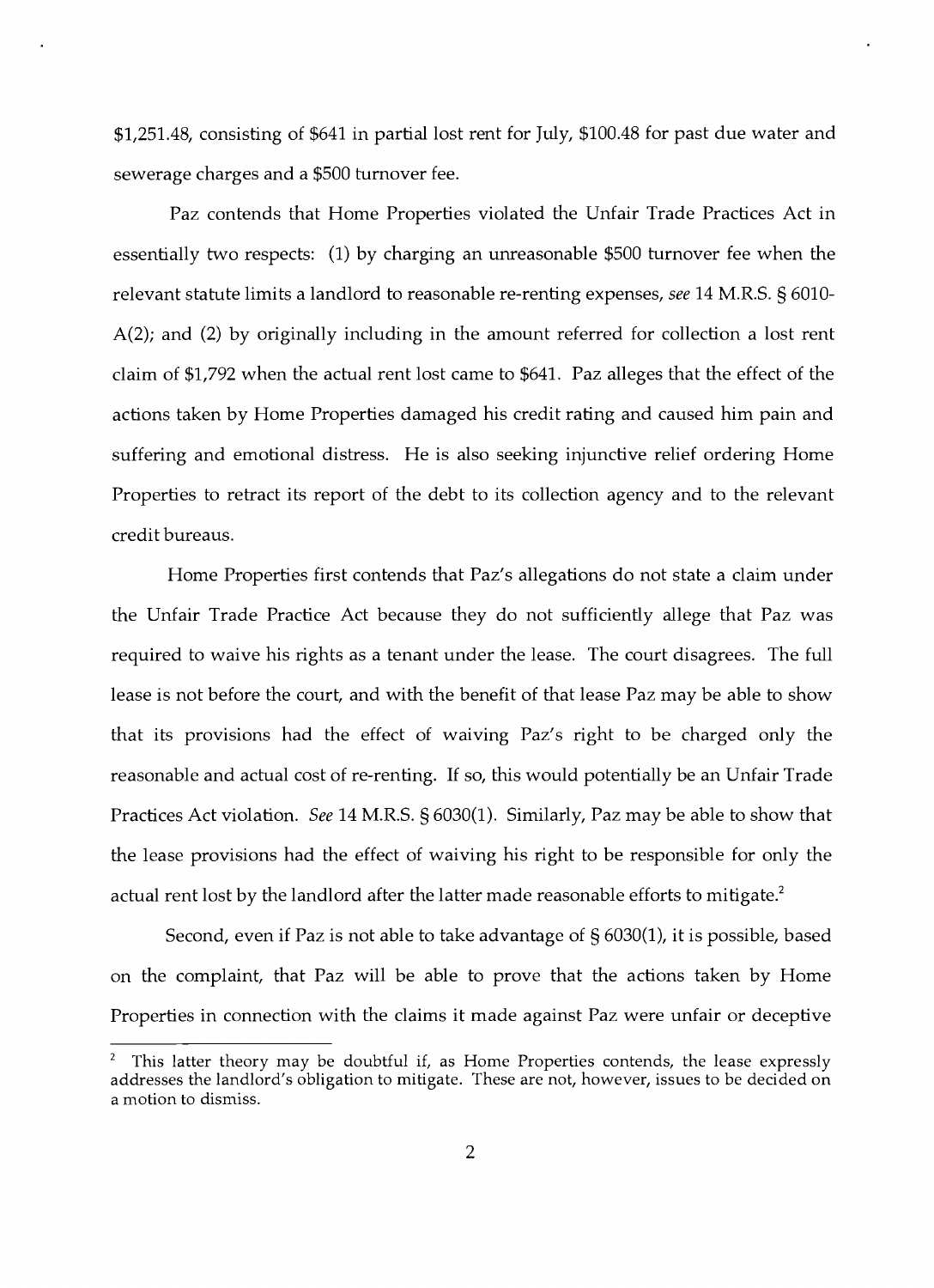\$1,251.48, consisting of \$641 in partial lost rent for July, \$100.48 for past due water and sewerage charges and a \$500 turnover fee.

Paz contends that Home Properties violated the Unfair Trade Practices Act in essentially two respects: (1) by charging an unreasonable \$500 turnover fee when the relevant statute limits a landlord to reasonable re-renting expenses, *see* 14 M.R.S. § 6010 A(2); and (2) by originally including in the amount referred for collection a lost rent claim of \$1,792 when the actual rent lost came to \$641. Paz alleges that the effect of the actions taken by Home Properties damaged his credit rating and caused him pain and suffering and emotional distress. He is also seeking injunctive relief ordering Home Properties to retract its report of the debt to its collection agency and to the relevant credit bureaus.

Home Properties first contends that Paz's allegations do not state a claim under the Unfair Trade Practice Act because they do not sufficiently allege that Paz was required to waive his rights as a tenant under the lease. The court disagrees. The full lease is not before the court, and with the benefit of that lease Paz may be able to show that its provisions had the effect of waiving Paz's right to be charged only the reasonable and actual cost of re-renting. If so, this would potentially be an Unfair Trade Practices Act violation. *See* 14 M.R.S. § 6030(1). Similarly, Paz may be able to show that the lease provisions had the effect of waiving his right to be responsible for only the actual rent lost by the landlord after the latter made reasonable efforts to mitigate.<sup>2</sup>

Second, even if Paz is not able to take advantage of § 6030(1), it is possible, based on the complaint, that Paz will be able to prove that the actions taken by Home Properties in connection with the claims it made against Paz were unfair or deceptive

This latter theory may be doubtful if, as Home Properties contends, the lease expressly addresses the landlord's obligation to mitigate. These are not, however, issues to be decided on a motion to dismiss.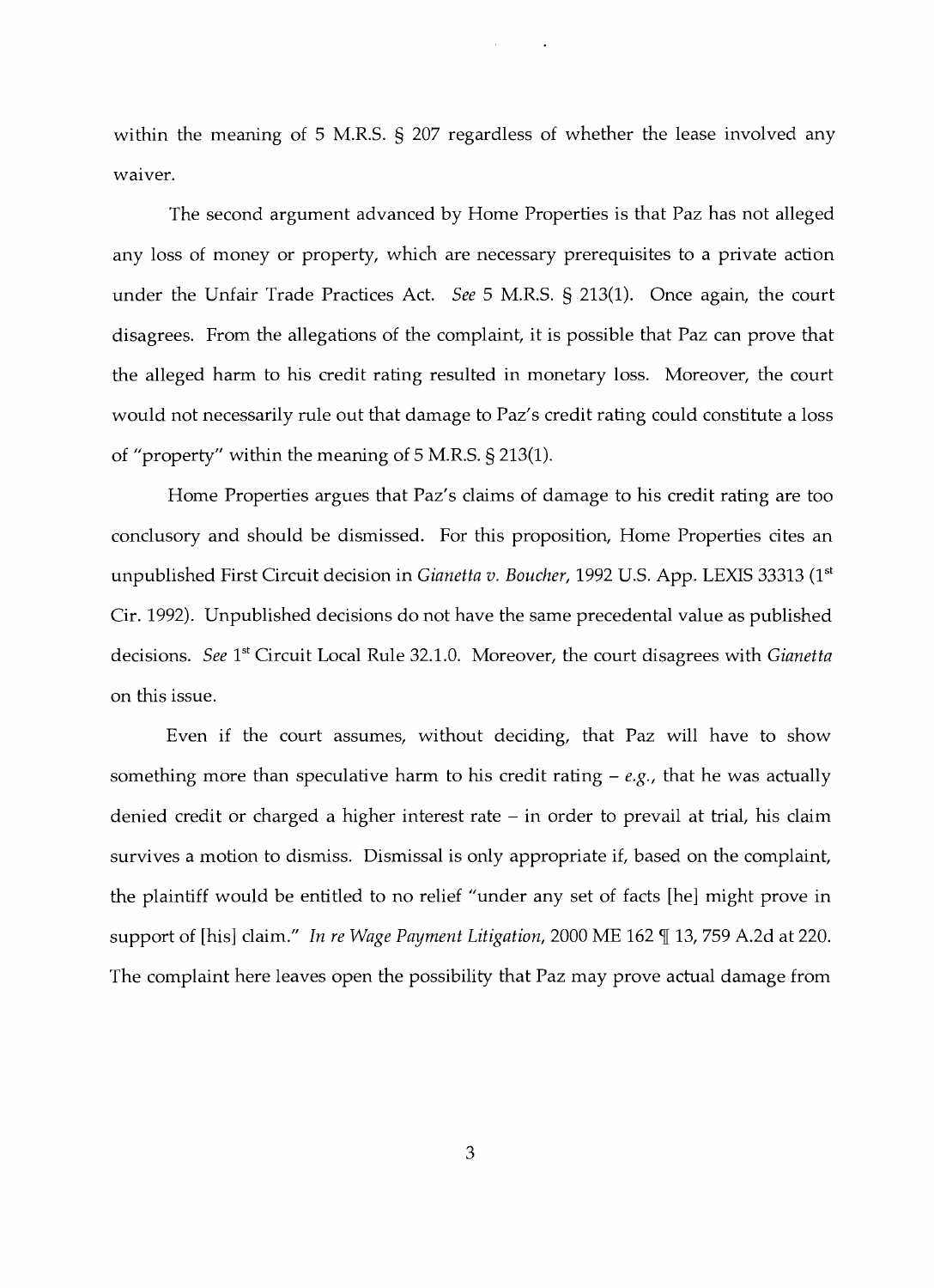within the meaning of 5 M.R.S. § 207 regardless of whether the lease involved any waiver.

The second argument advanced by Home Properties is that Paz has not alleged any loss of money or property, which are necessary prerequisites to a private action under the Unfair Trade Practices Act. *See* 5 M.R.S. § 213(1). Once again, the court disagrees. From the allegations of the complaint, it is possible that Paz can prove that the alleged harm to his credit rating resulted in monetary loss. Moreover, the court would not necessarily rule out that damage to Paz's credit rating could constitute a loss of "property" within the meaning of 5 M.R.S. § 213(1).

Home Properties argues that Paz's claims of damage to his credit rating are too conclusory and should be dismissed. For this proposition, Home Properties cites an unpublished First Circuit decision in *Gianetta v. Boucher*, 1992 U.S. App. LEXIS 33313 (1<sup>st</sup> Cir. 1992). Unpublished decisions do not have the same precedental value as published decisions. *See* 1<sup>st</sup> Circuit Local Rule 32.1.0. Moreover, the court disagrees with *Gianetta* on this issue.

Even if the court assumes, without deciding, that Paz will have to show something more than speculative harm to his credit rating - *e.g.,* that he was actually denied credit or charged a higher interest rate – in order to prevail at trial, his claim survives a motion to dismiss. Dismissal is only appropriate if, based on the complaint, the plaintiff would be entitied to no relief "under any set of facts [he] might prove in support of [his] claim." In re Wage Payment Litigation, 2000 ME 162 [13, 759 A.2d at 220. The complaint here leaves open the possibility that Paz may prove actual damage from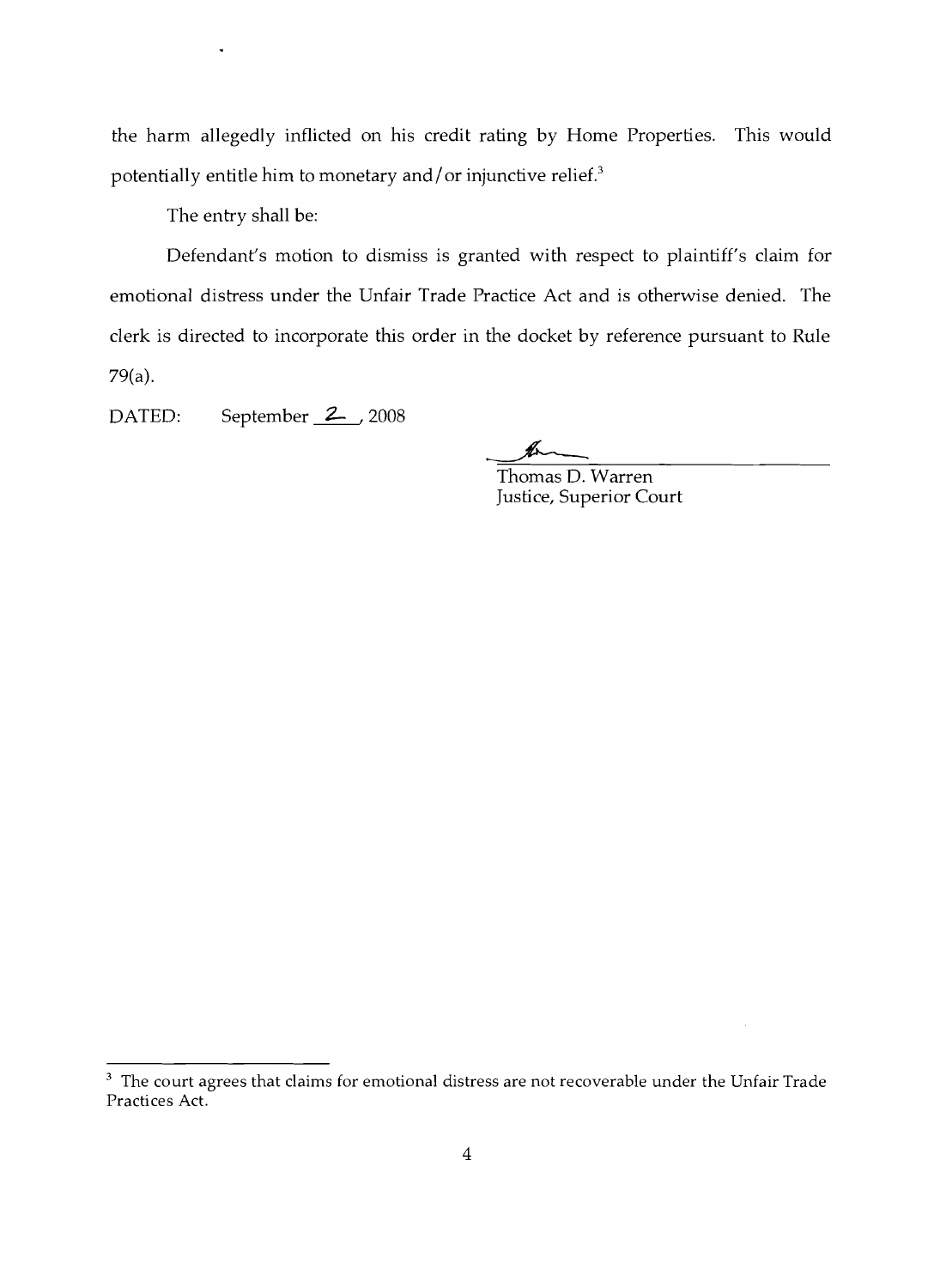the harm allegedly inflicted on his credit rating by Home Properties. This would potentially entitle him to monetary and/ or injunctive relief. $3$ 

The entry shall be:

Defendant's motion to dismiss is granted with respect to plaintiff's claim for emotional distress under the Unfair Trade Practice Act and is otherwise denied. The clerk is directed to incorporate this order in the docket by reference pursuant to Rule 79(a).

DATED: September 2, 2008

bL

Thomas D. Warren Justice, Superior Court

 $3$  The court agrees that claims for emotional distress are not recoverable under the Unfair Trade Practices Act.